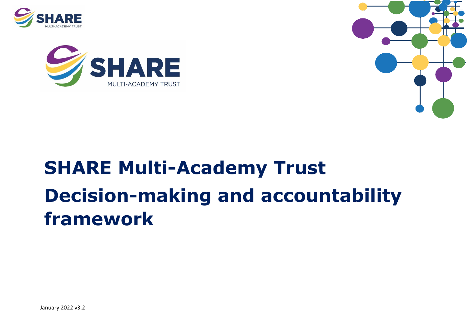





# **SHARE Multi-Academy Trust Decision-making and accountability framework**

January 2022 v3.2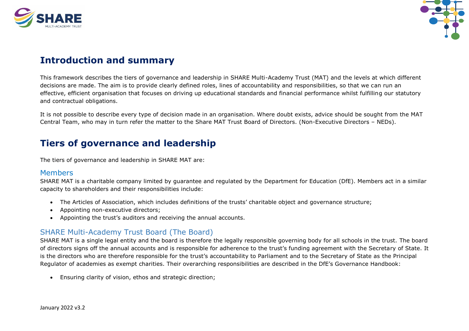



## **Introduction and summary**

This framework describes the tiers of governance and leadership in SHARE Multi-Academy Trust (MAT) and the levels at which different decisions are made. The aim is to provide clearly defined roles, lines of accountability and responsibilities, so that we can run an effective, efficient organisation that focuses on driving up educational standards and financial performance whilst fulfilling our statutory and contractual obligations.

It is not possible to describe every type of decision made in an organisation. Where doubt exists, advice should be sought from the MAT Central Team, who may in turn refer the matter to the Share MAT Trust Board of Directors. (Non-Executive Directors – NEDs).

## **Tiers of governance and leadership**

The tiers of governance and leadership in SHARE MAT are:

#### Members

SHARE MAT is a charitable company limited by guarantee and regulated by the Department for Education (DfE). Members act in a similar capacity to shareholders and their responsibilities include:

- The Articles of Association, which includes definitions of the trusts' charitable object and governance structure;
- Appointing non-executive directors;
- Appointing the trust's auditors and receiving the annual accounts.

#### SHARE Multi-Academy Trust Board (The Board)

SHARE MAT is a single legal entity and the board is therefore the legally responsible governing body for all schools in the trust. The board of directors signs off the annual accounts and is responsible for adherence to the trust's funding agreement with the Secretary of State. It is the directors who are therefore responsible for the trust's accountability to Parliament and to the Secretary of State as the Principal Regulator of academies as exempt charities. Their overarching responsibilities are described in the DfE's Governance Handbook:

• Ensuring clarity of vision, ethos and strategic direction;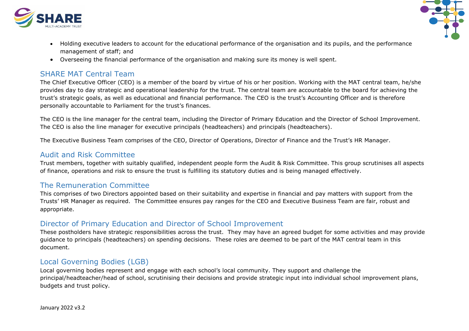



- Holding executive leaders to account for the educational performance of the organisation and its pupils, and the performance management of staff; and
- Overseeing the financial performance of the organisation and making sure its money is well spent.

#### SHARE MAT Central Team

The Chief Executive Officer (CEO) is a member of the board by virtue of his or her position. Working with the MAT central team, he/she provides day to day strategic and operational leadership for the trust. The central team are accountable to the board for achieving the trust's strategic goals, as well as educational and financial performance. The CEO is the trust's Accounting Officer and is therefore personally accountable to Parliament for the trust's finances.

The CEO is the line manager for the central team, including the Director of Primary Education and the Director of School Improvement. The CEO is also the line manager for executive principals (headteachers) and principals (headteachers).

The Executive Business Team comprises of the CEO, Director of Operations, Director of Finance and the Trust's HR Manager.

#### Audit and Risk Committee

Trust members, together with suitably qualified, independent people form the Audit & Risk Committee. This group scrutinises all aspects of finance, operations and risk to ensure the trust is fulfilling its statutory duties and is being managed effectively.

#### The Remuneration Committee

This comprises of two Directors appointed based on their suitability and expertise in financial and pay matters with support from the Trusts' HR Manager as required. The Committee ensures pay ranges for the CEO and Executive Business Team are fair, robust and appropriate.

#### Director of Primary Education and Director of School Improvement

These postholders have strategic responsibilities across the trust. They may have an agreed budget for some activities and may provide guidance to principals (headteachers) on spending decisions. These roles are deemed to be part of the MAT central team in this document.

### Local Governing Bodies (LGB)

Local governing bodies represent and engage with each school's local community. They support and challenge the principal/headteacher/head of school, scrutinising their decisions and provide strategic input into individual school improvement plans, budgets and trust policy.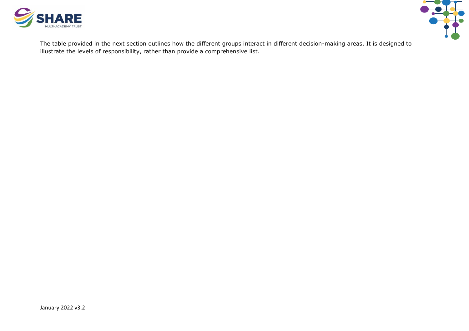



The table provided in the next section outlines how the different groups interact in different decision-making areas. It is designed to illustrate the levels of responsibility, rather than provide a comprehensive list.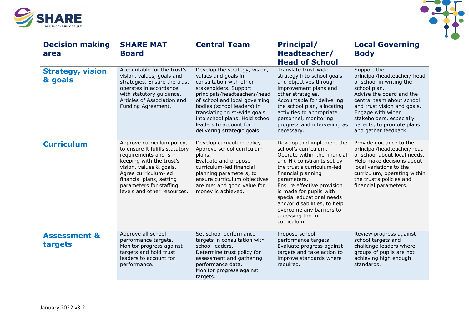



| <b>Decision making</b><br>area     | <b>SHARE MAT</b><br><b>Board</b>                                                                                                                                                                                                                            | <b>Central Team</b>                                                                                                                                                                                                                                                                                                                | <b>Principal/</b><br>Headteacher/<br><b>Head of School</b>                                                                                                                                                                                                                                                                                                               | <b>Local Governing</b><br><b>Body</b>                                                                                                                                                                                                                                                |
|------------------------------------|-------------------------------------------------------------------------------------------------------------------------------------------------------------------------------------------------------------------------------------------------------------|------------------------------------------------------------------------------------------------------------------------------------------------------------------------------------------------------------------------------------------------------------------------------------------------------------------------------------|--------------------------------------------------------------------------------------------------------------------------------------------------------------------------------------------------------------------------------------------------------------------------------------------------------------------------------------------------------------------------|--------------------------------------------------------------------------------------------------------------------------------------------------------------------------------------------------------------------------------------------------------------------------------------|
| <b>Strategy, vision</b><br>& goals | Accountable for the trust's<br>vision, values, goals and<br>strategies. Ensure the trust<br>operates in accordance<br>with statutory guidance,<br>Articles of Association and<br>Funding Agreement.                                                         | Develop the strategy, vision,<br>values and goals in<br>consultation with other<br>stakeholders. Support<br>principals/headteachers/head<br>of school and local governing<br>bodies (school leaders) in<br>translating trust-wide goals<br>into school plans. Hold school<br>leaders to account for<br>delivering strategic goals. | Translate trust-wide<br>strategy into school goals<br>and objectives through<br>improvement plans and<br>other strategies.<br>Accountable for delivering<br>the school plan, allocating<br>activities to appropriate<br>personnel, monitoring<br>progress and intervening as<br>necessary.                                                                               | Support the<br>principal/headteacher/ head<br>of school in writing the<br>school plan.<br>Advise the board and the<br>central team about school<br>and trust vision and goals.<br>Engage with wider<br>stakeholders, especially<br>parents, to promote plans<br>and gather feedback. |
| <b>Curriculum</b>                  | Approve curriculum policy,<br>to ensure it fulfils statutory<br>requirements and is in<br>keeping with the trust's<br>vision, values & goals.<br>Agree curriculum-led<br>financial plans, setting<br>parameters for staffing<br>levels and other resources. | Develop curriculum policy.<br>Approve school curriculum<br>plans.<br>Evaluate and propose<br>curriculum-led financial<br>planning parameters, to<br>ensure curriculum objectives<br>are met and good value for<br>money is achieved.                                                                                               | Develop and implement the<br>school's curriculum.<br>Operate within the financial<br>and HR constraints set by<br>the trust's curriculum-led<br>financial planning<br>parameters.<br>Ensure effective provision<br>is made for pupils with<br>special educational needs<br>and/or disabilities, to help<br>overcome any barriers to<br>accessing the full<br>curriculum. | Provide guidance to the<br>principal/headteacher/head<br>of school about local needs.<br>Help make decisions about<br>local variations to the<br>curriculum, operating within<br>the trust's policies and<br>financial parameters.                                                   |
| <b>Assessment &amp;</b><br>targets | Approve all school<br>performance targets.<br>Monitor progress against<br>targets and hold trust<br>leaders to account for<br>performance.                                                                                                                  | Set school performance<br>targets in consultation with<br>school leaders.<br>Determine trust policy for<br>assessment and gathering<br>performance data.<br>Monitor progress against<br>targets.                                                                                                                                   | Propose school<br>performance targets.<br>Evaluate progress against<br>targets and take action to<br>improve standards where<br>required.                                                                                                                                                                                                                                | Review progress against<br>school targets and<br>challenge leaders where<br>groups of pupils are not<br>achieving high enough<br>standards.                                                                                                                                          |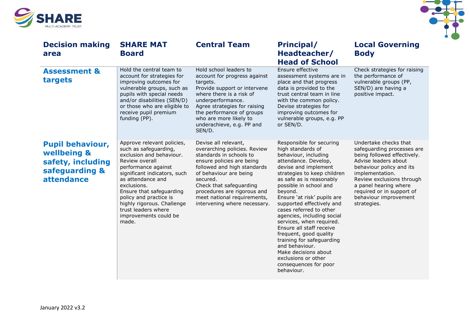



| <b>Decision making</b><br>area                                                              | <b>SHARE MAT</b><br><b>Board</b>                                                                                                                                                                                                                                                                                                          | <b>Central Team</b>                                                                                                                                                                                                                                                                                        | <b>Principal/</b><br>Headteacher/<br><b>Head of School</b>                                                                                                                                                                                                                                                                                                                                                                                                                                                                                                        | <b>Local Governing</b><br><b>Body</b>                                                                                                                                                                                                                                                |
|---------------------------------------------------------------------------------------------|-------------------------------------------------------------------------------------------------------------------------------------------------------------------------------------------------------------------------------------------------------------------------------------------------------------------------------------------|------------------------------------------------------------------------------------------------------------------------------------------------------------------------------------------------------------------------------------------------------------------------------------------------------------|-------------------------------------------------------------------------------------------------------------------------------------------------------------------------------------------------------------------------------------------------------------------------------------------------------------------------------------------------------------------------------------------------------------------------------------------------------------------------------------------------------------------------------------------------------------------|--------------------------------------------------------------------------------------------------------------------------------------------------------------------------------------------------------------------------------------------------------------------------------------|
| <b>Assessment &amp;</b><br>targets                                                          | Hold the central team to<br>account for strategies for<br>improving outcomes for<br>vulnerable groups, such as<br>pupils with special needs<br>and/or disabilities (SEN/D)<br>or those who are eligible to<br>receive pupil premium<br>funding (PP).                                                                                      | Hold school leaders to<br>account for progress against<br>targets.<br>Provide support or intervene<br>where there is a risk of<br>underperformance.<br>Agree strategies for raising<br>the performance of groups<br>who are more likely to<br>underachieve, e.g. PP and<br>SEN/D.                          | Ensure effective<br>assessment systems are in<br>place and that progress<br>data is provided to the<br>trust central team in line<br>with the common policy.<br>Devise strategies for<br>improving outcomes for<br>vulnerable groups, e.g. PP<br>or SEN/D.                                                                                                                                                                                                                                                                                                        | Check strategies for raising<br>the performance of<br>vulnerable groups (PP,<br>SEN/D) are having a<br>positive impact.                                                                                                                                                              |
| <b>Pupil behaviour,</b><br>wellbeing &<br>safety, including<br>safeguarding &<br>attendance | Approve relevant policies,<br>such as safeguarding,<br>exclusion and behaviour.<br>Review overall<br>performance against<br>significant indicators, such<br>as attendance and<br>exclusions.<br>Ensure that safeguarding<br>policy and practice is<br>highly rigorous. Challenge<br>trust leaders where<br>improvements could be<br>made. | Devise all relevant,<br>overarching policies. Review<br>standards in schools to<br>ensure policies are being<br>followed and high standards<br>of behaviour are being<br>secured.<br>Check that safeguarding<br>procedures are rigorous and<br>meet national requirements,<br>intervening where necessary. | Responsible for securing<br>high standards of<br>behaviour, including<br>attendance. Develop,<br>devise and implement<br>strategies to keep children<br>as safe as is reasonably<br>possible in school and<br>beyond.<br>Ensure 'at risk' pupils are<br>supported effectively and<br>cases referred to other<br>agencies, including social<br>services, when required.<br>Ensure all staff receive<br>frequent, good quality<br>training for safeguarding<br>and behaviour.<br>Make decisions about<br>exclusions or other<br>consequences for poor<br>behaviour. | Undertake checks that<br>safeguarding processes are<br>being followed effectively.<br>Advise leaders about<br>behaviour policy and its<br>implementation.<br>Review exclusions through<br>a panel hearing where<br>required or in support of<br>behaviour improvement<br>strategies. |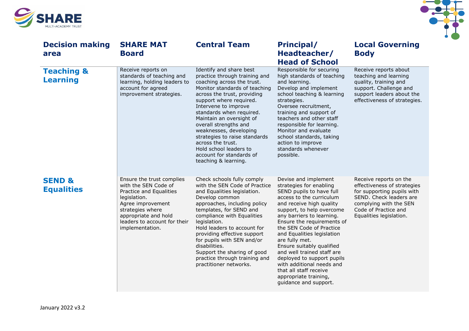



| <b>Decision making</b><br>area           | <b>SHARE MAT</b><br><b>Board</b>                                                                                                                                                                                 | <b>Central Team</b>                                                                                                                                                                                                                                                                                                                                                                                                                                      | Principal/<br>Headteacher/<br><b>Head of School</b>                                                                                                                                                                                                                                                                                                                                                                                                                                                       | <b>Local Governing</b><br><b>Body</b>                                                                                                                                                       |
|------------------------------------------|------------------------------------------------------------------------------------------------------------------------------------------------------------------------------------------------------------------|----------------------------------------------------------------------------------------------------------------------------------------------------------------------------------------------------------------------------------------------------------------------------------------------------------------------------------------------------------------------------------------------------------------------------------------------------------|-----------------------------------------------------------------------------------------------------------------------------------------------------------------------------------------------------------------------------------------------------------------------------------------------------------------------------------------------------------------------------------------------------------------------------------------------------------------------------------------------------------|---------------------------------------------------------------------------------------------------------------------------------------------------------------------------------------------|
| <b>Teaching &amp;</b><br><b>Learning</b> | Receive reports on<br>standards of teaching and<br>learning, holding leaders to<br>account for agreed<br>improvement strategies.                                                                                 | Identify and share best<br>practice through training and<br>coaching across the trust.<br>Monitor standards of teaching<br>across the trust, providing<br>support where required.<br>Intervene to improve<br>standards when required.<br>Maintain an oversight of<br>overall strengths and<br>weaknesses, developing<br>strategies to raise standards<br>across the trust.<br>Hold school leaders to<br>account for standards of<br>teaching & learning. | Responsible for securing<br>high standards of teaching<br>and learning.<br>Develop and implement<br>school teaching & learning<br>strategies.<br>Oversee recruitment,<br>training and support of<br>teachers and other staff<br>responsible for learning.<br>Monitor and evaluate<br>school standards, taking<br>action to improve<br>standards whenever<br>possible.                                                                                                                                     | Receive reports about<br>teaching and learning<br>quality, training and<br>support. Challenge and<br>support leaders about the<br>effectiveness of strategies.                              |
| <b>SEND &amp;</b><br><b>Equalities</b>   | Ensure the trust complies<br>with the SEN Code of<br>Practice and Equalities<br>legislation.<br>Agree improvement<br>strategies where<br>appropriate and hold<br>leaders to account for their<br>implementation. | Check schools fully comply<br>with the SEN Code of Practice<br>and Equalities legislation.<br>Develop common<br>approaches, including policy<br>templates, for SEND and<br>compliance with Equalities<br>legislation.<br>Hold leaders to account for<br>providing effective support<br>for pupils with SEN and/or<br>disabilities.<br>Support the sharing of good<br>practice through training and<br>practitioner networks.                             | Devise and implement<br>strategies for enabling<br>SEND pupils to have full<br>access to the curriculum<br>and receive high quality<br>support, to help overcome<br>any barriers to learning.<br>Ensure the requirements of<br>the SEN Code of Practice<br>and Equalities legislation<br>are fully met.<br>Ensure suitably qualified<br>and well trained staff are<br>deployed to support pupils<br>with additional needs and<br>that all staff receive<br>appropriate training,<br>guidance and support. | Receive reports on the<br>effectiveness of strategies<br>for supporting pupils with<br>SEND. Check leaders are<br>complying with the SEN<br>Code of Practice and<br>Equalities legislation. |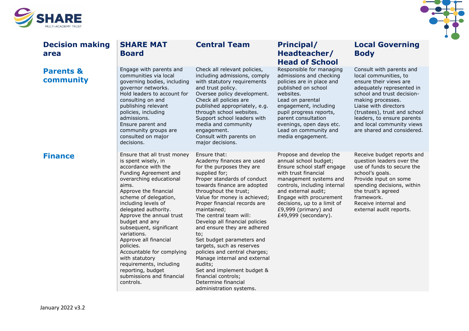



| <b>Decision making</b><br>area    | <b>SHARE MAT</b><br><b>Board</b>                                                                                                                                                                                                                                                                                                                                                                                                                                                                               | <b>Central Team</b>                                                                                                                                                                                                                                                                                                                                                                                                                                                                                                                                                                                          | Principal/<br>Headteacher/<br><b>Head of School</b>                                                                                                                                                                                                                                               | <b>Local Governing</b><br><b>Body</b>                                                                                                                                                                                                                                                                         |
|-----------------------------------|----------------------------------------------------------------------------------------------------------------------------------------------------------------------------------------------------------------------------------------------------------------------------------------------------------------------------------------------------------------------------------------------------------------------------------------------------------------------------------------------------------------|--------------------------------------------------------------------------------------------------------------------------------------------------------------------------------------------------------------------------------------------------------------------------------------------------------------------------------------------------------------------------------------------------------------------------------------------------------------------------------------------------------------------------------------------------------------------------------------------------------------|---------------------------------------------------------------------------------------------------------------------------------------------------------------------------------------------------------------------------------------------------------------------------------------------------|---------------------------------------------------------------------------------------------------------------------------------------------------------------------------------------------------------------------------------------------------------------------------------------------------------------|
| <b>Parents &amp;</b><br>community | Engage with parents and<br>communities via local<br>governing bodies, including<br>governor networks.<br>Hold leaders to account for<br>consulting on and<br>publishing relevant<br>policies, including<br>admissions.<br>Ensure parent and<br>community groups are<br>consulted on major<br>decisions.                                                                                                                                                                                                        | Check all relevant policies,<br>including admissions, comply<br>with statutory requirements<br>and trust policy.<br>Oversee policy development.<br>Check all policies are<br>published appropriately, e.g.<br>through school websites.<br>Support school leaders with<br>media and community<br>engagement.<br>Consult with parents on<br>major decisions.                                                                                                                                                                                                                                                   | Responsible for managing<br>admissions and checking<br>policies are in place and<br>published on school<br>websites.<br>Lead on parental<br>engagement, including<br>pupil progress reports,<br>parent consultation<br>evenings, open days etc.<br>Lead on community and<br>media engagement.     | Consult with parents and<br>local communities, to<br>ensure their views are<br>adequately represented in<br>school and trust decision-<br>making processes.<br>Liaise with directors<br>(trustees), trust and school<br>leaders, to ensure parents<br>and local community views<br>are shared and considered. |
| <b>Finance</b>                    | Ensure that all trust money<br>is spent wisely, in<br>accordance with the<br>Funding Agreement and<br>overarching educational<br>aims.<br>Approve the financial<br>scheme of delegation,<br>including levels of<br>delegated authority.<br>Approve the annual trust<br>budget and any<br>subsequent, significant<br>variations.<br>Approve all financial<br>policies.<br>Accountable for complying<br>with statutory<br>requirements, including<br>reporting, budget<br>submissions and financial<br>controls. | Ensure that:<br>Academy finances are used<br>for the purposes they are<br>supplied for;<br>Proper standards of conduct<br>towards finance are adopted<br>throughout the trust;<br>Value for money is achieved;<br>Proper financial records are<br>maintained;<br>The central team will:<br>Develop all financial policies<br>and ensure they are adhered<br>to;<br>Set budget parameters and<br>targets, such as reserves<br>policies and central charges;<br>Manage internal and external<br>audits;<br>Set and implement budget &<br>financial controls;<br>Determine financial<br>administration systems. | Propose and develop the<br>annual school budget;<br>Ensure school staff engage<br>with trust financial<br>management systems and<br>controls, including internal<br>and external audit;<br>Engage with procurement<br>decisions, up to a limit of<br>£9,999 (primary) and<br>£49,999 (secondary). | Receive budget reports and<br>question leaders over the<br>use of funds to secure the<br>school's goals.<br>Provide input on some<br>spending decisions, within<br>the trust's agreed<br>framework.<br>Receive internal and<br>external audit reports.                                                        |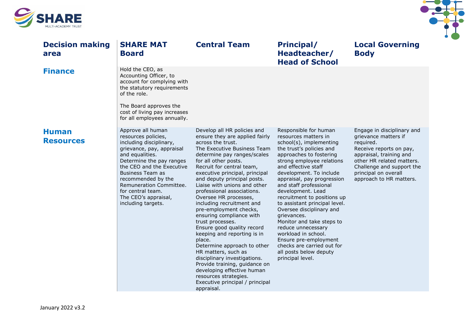



| <b>Decision making</b><br>area   | <b>SHARE MAT</b><br><b>Board</b>                                                                                                                                                                                                                                                                                            | <b>Central Team</b>                                                                                                                                                                                                                                                                                                                                                                                                                                                                                                                                                                                                                                                                                                                                                        | <b>Principal/</b><br>Headteacher/<br><b>Head of School</b>                                                                                                                                                                                                                                                                                                                                                                                                                                                                                                                            | <b>Local Governing</b><br><b>Body</b>                                                                                                                                                                                              |
|----------------------------------|-----------------------------------------------------------------------------------------------------------------------------------------------------------------------------------------------------------------------------------------------------------------------------------------------------------------------------|----------------------------------------------------------------------------------------------------------------------------------------------------------------------------------------------------------------------------------------------------------------------------------------------------------------------------------------------------------------------------------------------------------------------------------------------------------------------------------------------------------------------------------------------------------------------------------------------------------------------------------------------------------------------------------------------------------------------------------------------------------------------------|---------------------------------------------------------------------------------------------------------------------------------------------------------------------------------------------------------------------------------------------------------------------------------------------------------------------------------------------------------------------------------------------------------------------------------------------------------------------------------------------------------------------------------------------------------------------------------------|------------------------------------------------------------------------------------------------------------------------------------------------------------------------------------------------------------------------------------|
| <b>Finance</b>                   | Hold the CEO, as<br>Accounting Officer, to<br>account for complying with<br>the statutory requirements<br>of the role.                                                                                                                                                                                                      |                                                                                                                                                                                                                                                                                                                                                                                                                                                                                                                                                                                                                                                                                                                                                                            |                                                                                                                                                                                                                                                                                                                                                                                                                                                                                                                                                                                       |                                                                                                                                                                                                                                    |
|                                  | The Board approves the<br>cost of living pay increases<br>for all employees annually.                                                                                                                                                                                                                                       |                                                                                                                                                                                                                                                                                                                                                                                                                                                                                                                                                                                                                                                                                                                                                                            |                                                                                                                                                                                                                                                                                                                                                                                                                                                                                                                                                                                       |                                                                                                                                                                                                                                    |
| <b>Human</b><br><b>Resources</b> | Approve all human<br>resources policies,<br>including disciplinary,<br>grievance, pay, appraisal<br>and equalities.<br>Determine the pay ranges<br>the CEO and the Executive<br><b>Business Team as</b><br>recommended by the<br>Remuneration Committee.<br>for central team.<br>The CEO's appraisal,<br>including targets. | Develop all HR policies and<br>ensure they are applied fairly<br>across the trust.<br>The Executive Business Team<br>determine pay ranges/scales<br>for all other posts.<br>Recruit for central team,<br>executive principal, principal<br>and deputy principal posts.<br>Liaise with unions and other<br>professional associations.<br>Oversee HR processes,<br>including recruitment and<br>pre-employment checks,<br>ensuring compliance with<br>trust processes.<br>Ensure good quality record<br>keeping and reporting is in<br>place.<br>Determine approach to other<br>HR matters, such as<br>disciplinary investigations.<br>Provide training, guidance on<br>developing effective human<br>resources strategies.<br>Executive principal / principal<br>appraisal. | Responsible for human<br>resources matters in<br>school(s), implementing<br>the trust's policies and<br>approaches to fostering<br>strong employee relations<br>and effective staff<br>development. To include<br>appraisal, pay progression<br>and staff professional<br>development. Lead<br>recruitment to positions up<br>to assistant principal level.<br>Oversee disciplinary and<br>grievances.<br>Monitor and take steps to<br>reduce unnecessary<br>workload in school.<br>Ensure pre-employment<br>checks are carried out for<br>all posts below deputy<br>principal level. | Engage in disciplinary and<br>grievance matters if<br>required.<br>Receive reports on pay,<br>appraisal, training and<br>other HR related matters.<br>Challenge and support the<br>principal on overall<br>approach to HR matters. |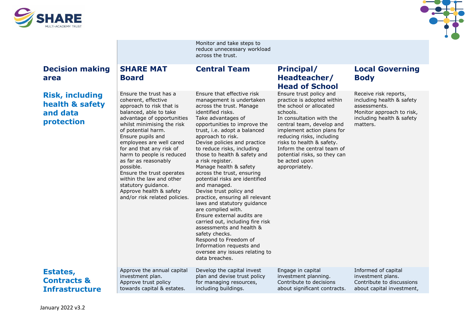



|                                                                     |                                                                                                                                                                                                                                                                                                                                                                                                                                                                                  | Monitor and take steps to<br>reduce unnecessary workload<br>across the trust.                                                                                                                                                                                                                                                                                                                                                                                                                                                                                                                                                                                                                                                                                                              |                                                                                                                                                                                                                                                                                                                                                |                                                                                                                                          |
|---------------------------------------------------------------------|----------------------------------------------------------------------------------------------------------------------------------------------------------------------------------------------------------------------------------------------------------------------------------------------------------------------------------------------------------------------------------------------------------------------------------------------------------------------------------|--------------------------------------------------------------------------------------------------------------------------------------------------------------------------------------------------------------------------------------------------------------------------------------------------------------------------------------------------------------------------------------------------------------------------------------------------------------------------------------------------------------------------------------------------------------------------------------------------------------------------------------------------------------------------------------------------------------------------------------------------------------------------------------------|------------------------------------------------------------------------------------------------------------------------------------------------------------------------------------------------------------------------------------------------------------------------------------------------------------------------------------------------|------------------------------------------------------------------------------------------------------------------------------------------|
| <b>Decision making</b><br>area                                      | <b>SHARE MAT</b><br><b>Board</b>                                                                                                                                                                                                                                                                                                                                                                                                                                                 | <b>Central Team</b>                                                                                                                                                                                                                                                                                                                                                                                                                                                                                                                                                                                                                                                                                                                                                                        | <b>Principal/</b><br>Headteacher/<br><b>Head of School</b>                                                                                                                                                                                                                                                                                     | <b>Local Governing</b><br><b>Body</b>                                                                                                    |
| <b>Risk, including</b><br>health & safety<br>and data<br>protection | Ensure the trust has a<br>coherent, effective<br>approach to risk that is<br>balanced, able to take<br>advantage of opportunities<br>whilst minimising the risk<br>of potential harm.<br>Ensure pupils and<br>employees are well cared<br>for and that any risk of<br>harm to people is reduced<br>as far as reasonably<br>possible.<br>Ensure the trust operates<br>within the law and other<br>statutory guidance.<br>Approve health & safety<br>and/or risk related policies. | Ensure that effective risk<br>management is undertaken<br>across the trust. Manage<br>identified risks.<br>Take advantages of<br>opportunities to improve the<br>trust, i.e. adopt a balanced<br>approach to risk.<br>Devise policies and practice<br>to reduce risks, including<br>those to health & safety and<br>a risk register.<br>Manage health & safety<br>across the trust, ensuring<br>potential risks are identified<br>and managed.<br>Devise trust policy and<br>practice, ensuring all relevant<br>laws and statutory guidance<br>are complied with.<br>Ensure external audits are<br>carried out, including fire risk<br>assessments and health &<br>safety checks.<br>Respond to Freedom of<br>Information requests and<br>oversee any issues relating to<br>data breaches. | Ensure trust policy and<br>practice is adopted within<br>the school or allocated<br>schools.<br>In consultation with the<br>central team, develop and<br>implement action plans for<br>reducing risks, including<br>risks to health & safety.<br>Inform the central team of<br>potential risks, so they can<br>be acted upon<br>appropriately. | Receive risk reports,<br>including health & safety<br>assessments.<br>Monitor approach to risk,<br>including health & safety<br>matters. |
| Estates,<br><b>Contracts &amp;</b><br><b>Infrastructure</b>         | Approve the annual capital<br>investment plan.<br>Approve trust policy<br>towards capital & estates.                                                                                                                                                                                                                                                                                                                                                                             | Develop the capital invest<br>plan and devise trust policy<br>for managing resources,<br>including buildings.                                                                                                                                                                                                                                                                                                                                                                                                                                                                                                                                                                                                                                                                              | Engage in capital<br>investment planning.<br>Contribute to decisions<br>about significant contracts.                                                                                                                                                                                                                                           | Informed of capital<br>investment plans.<br>Contribute to discussions<br>about capital investment,                                       |
|                                                                     |                                                                                                                                                                                                                                                                                                                                                                                                                                                                                  |                                                                                                                                                                                                                                                                                                                                                                                                                                                                                                                                                                                                                                                                                                                                                                                            |                                                                                                                                                                                                                                                                                                                                                |                                                                                                                                          |